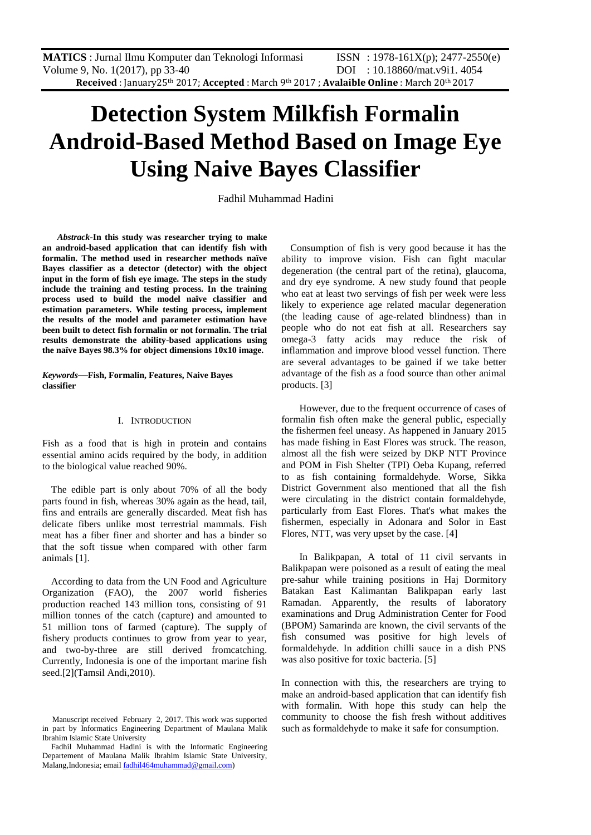# **Detection System Milkfish Formalin Android-Based Method Based on Image Eye Using Naive Bayes Classifier**

Fadhil Muhammad Hadini

 *Abstrack-***In this study was researcher trying to make an android-based application that can identify fish with formalin. The method used in researcher methods naïve Bayes classifier as a detector (detector) with the object input in the form of fish eye image. The steps in the study include the training and testing process. In the training process used to build the model naïve classifier and estimation parameters. While testing process, implement the results of the model and parameter estimation have been built to detect fish formalin or not formalin. The trial results demonstrate the ability-based applications using the naïve Bayes 98.3% for object dimensions 10x10 image.**

*Keywords*—**Fish, Formalin, Features, Naive Bayes classifier**

# I. INTRODUCTION

Fish as a food that is high in protein and contains essential amino acids required by the body, in addition to the biological value reached 90%.

The edible part is only about 70% of all the body parts found in fish, whereas 30% again as the head, tail, fins and entrails are generally discarded. Meat fish has delicate fibers unlike most terrestrial mammals. Fish meat has a fiber finer and shorter and has a binder so that the soft tissue when compared with other farm animals [1].

According to data from the UN Food and Agriculture Organization (FAO), the 2007 world fisheries production reached 143 million tons, consisting of 91 million tonnes of the catch (capture) and amounted to 51 million tons of farmed (capture). The supply of fishery products continues to grow from year to year, and two-by-three are still derived fromcatching. Currently, Indonesia is one of the important marine fish seed.[2](Tamsil Andi,2010).

Consumption of fish is very good because it has the ability to improve vision. Fish can fight macular degeneration (the central part of the retina), glaucoma, and dry eye syndrome. A new study found that people who eat at least two servings of fish per week were less likely to experience age related macular degeneration (the leading cause of age-related blindness) than in people who do not eat fish at all. Researchers say omega-3 fatty acids may reduce the risk of inflammation and improve blood vessel function. There are several advantages to be gained if we take better advantage of the fish as a food source than other animal products. [3]

However, due to the frequent occurrence of cases of formalin fish often make the general public, especially the fishermen feel uneasy. As happened in January 2015 has made fishing in East Flores was struck. The reason, almost all the fish were seized by DKP NTT Province and POM in Fish Shelter (TPI) Oeba Kupang, referred to as fish containing formaldehyde. Worse, Sikka District Government also mentioned that all the fish were circulating in the district contain formaldehyde, particularly from East Flores. That's what makes the fishermen, especially in Adonara and Solor in East Flores, NTT, was very upset by the case. [4]

In Balikpapan, A total of 11 civil servants in Balikpapan were poisoned as a result of eating the meal pre-sahur while training positions in Haj Dormitory Batakan East Kalimantan Balikpapan early last Ramadan. Apparently, the results of laboratory examinations and Drug Administration Center for Food (BPOM) Samarinda are known, the civil servants of the fish consumed was positive for high levels of formaldehyde. In addition chilli sauce in a dish PNS was also positive for toxic bacteria. [5]

In connection with this, the researchers are trying to make an android-based application that can identify fish with formalin. With hope this study can help the community to choose the fish fresh without additives such as formaldehyde to make it safe for consumption.

Manuscript received February 2, 2017. This work was supported in part by Informatics Engineering Department of Maulana Malik Ibrahim Islamic State University

Fadhil Muhammad Hadini is with the Informatic Engineering Departement of Maulana Malik Ibrahim Islamic State University, Malang,Indonesia; emai[l fadhil464muhammad@gmail.com\)](mailto:fadhil464muhammad@gmail.com)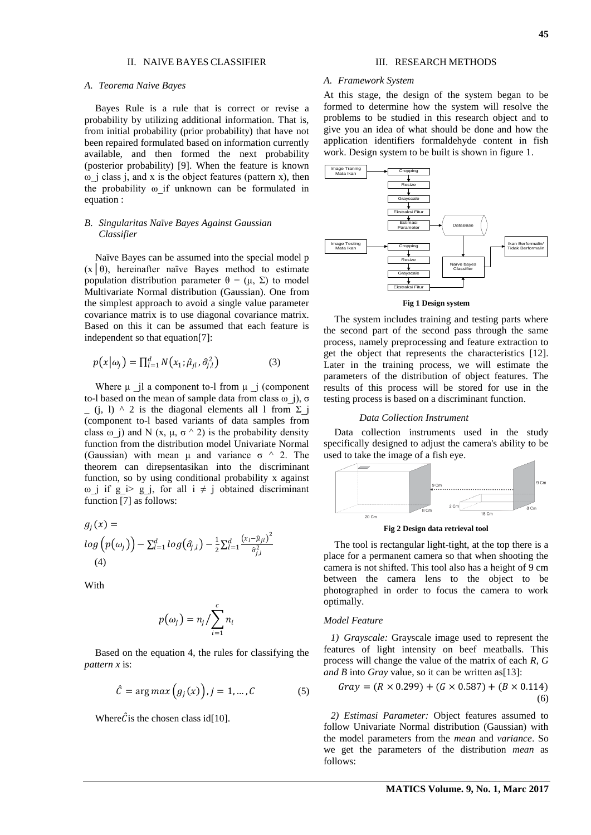# II. NAIVE BAYES CLASSIFIER

#### *A. Teorema Naive Bayes*

Bayes Rule is a rule that is correct or revise a probability by utilizing additional information. That is, from initial probability (prior probability) that have not been repaired formulated based on information currently available, and then formed the next probability (posterior probability) [9]. When the feature is known ω\_j class j, and x is the object features (pattern x), then the probability ω\_if unknown can be formulated in equation :

# *B. Singularitas Naïve Bayes Against Gaussian Classifier*

Naïve Bayes can be assumed into the special model p  $(x | \theta)$ , hereinafter naïve Bayes method to estimate population distribution parameter  $θ = (μ, Σ)$  to model Multivariate Normal distribution (Gaussian). One from the simplest approach to avoid a single value parameter covariance matrix is to use diagonal covariance matrix. Based on this it can be assumed that each feature is independent so that equation[7]:

$$
p(x|\omega_j) = \prod_{l=1}^{d} N(x_1; \hat{\mu}_{jl}, \hat{\sigma}_{j,l}^2)
$$
 (3)

Where  $\mu$  il a component to-l from  $\mu$  i (component to-l based on the mean of sample data from class  $ω$  j),  $σ$  $(i, 1)$  ^ 2 is the diagonal elements all 1 from  $\Sigma$  i (component to-l based variants of data samples from class  $\omega$  j) and N (x,  $\mu$ ,  $\sigma$   $\wedge$  2) is the probability density function from the distribution model Univariate Normal (Gaussian) with mean  $\mu$  and variance  $\sigma$   $\land$  2. The theorem can direpsentasikan into the discriminant function, so by using conditional probability x against  $\omega$  j if g\_i> g\_j, for all i  $\neq$  j obtained discriminant function [7] as follows:

$$
g_j(x) =
$$
  
\n
$$
log(p(\omega_j)) - \sum_{l=1}^d log(\hat{\sigma}_{j,l}) - \frac{1}{2} \sum_{l=1}^d \frac{(x_l - \hat{\mu}_{jl})^2}{\hat{\sigma}_{j,l}^2}
$$
  
\n(4)

**With** 

$$
p(\omega_j)=n_j/\sum_{i=1}^c n_i
$$

Based on the equation 4, the rules for classifying the *pattern x* is:

$$
\hat{C} = \arg \max (g_j(x)), j = 1, ..., C \tag{5}
$$

Where  $\hat{C}$  is the chosen class id<sup>[10]</sup>.

# III. RESEARCH METHODS

### *A. Framework System*

At this stage, the design of the system began to be formed to determine how the system will resolve the problems to be studied in this research object and to give you an idea of what should be done and how the application identifiers formaldehyde content in fish work. Design system to be built is shown in figure 1.



**Fig 1 Design system**

The system includes training and testing parts where the second part of the second pass through the same process, namely preprocessing and feature extraction to get the object that represents the characteristics [12]. Later in the training process, we will estimate the parameters of the distribution of object features. The results of this process will be stored for use in the testing process is based on a discriminant function.

# *Data Collection Instrument*

Data collection instruments used in the study specifically designed to adjust the camera's ability to be used to take the image of a fish eye.



**Fig 2 Design data retrieval tool**

The tool is rectangular light-tight, at the top there is a place for a permanent camera so that when shooting the camera is not shifted. This tool also has a height of 9 cm between the camera lens to the object to be photographed in order to focus the camera to work optimally.

## *Model Feature*

*1) Grayscale:* Grayscale image used to represent the features of light intensity on beef meatballs. This process will change the value of the matrix of each *R, G and B* into *Gray* value, so it can be written as[13]:

$$
Gray = (R \times 0.299) + (G \times 0.587) + (B \times 0.114)
$$
\n
$$
(6)
$$

*2) Estimasi Parameter:* Object features assumed to follow Univariate Normal distribution (Gaussian) with the model parameters from the *mean* and *variance*. So we get the parameters of the distribution *mean* as follows: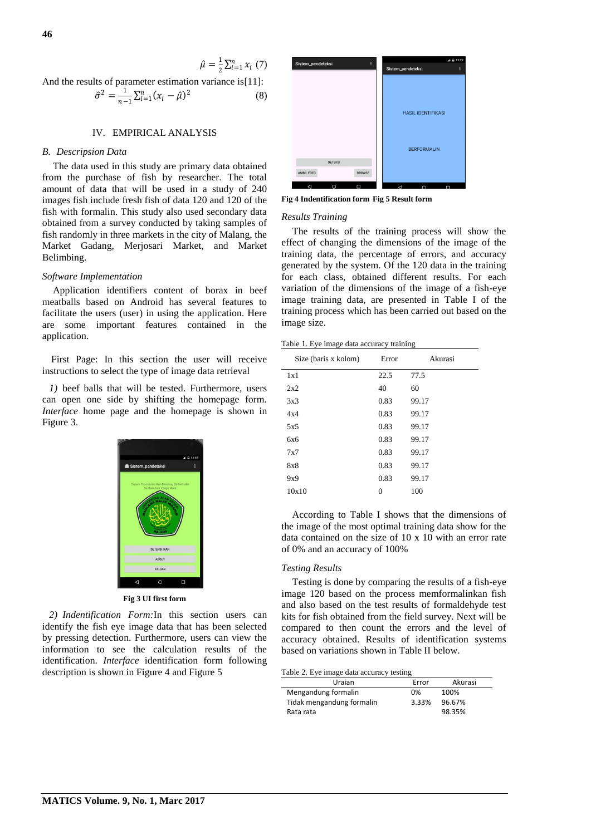$$
\hat{\mu} = \frac{1}{2} \sum_{i=1}^{n} x_i \ (7)
$$

And the results of parameter estimation variance is[11]:

$$
\hat{\sigma}^2 = \frac{1}{n-1} \sum_{i=1}^n (x_i - \hat{\mu})^2
$$
 (8)

# IV. EMPIRICAL ANALYSIS

## *B. Descripsion Data*

The data used in this study are primary data obtained from the purchase of fish by researcher. The total amount of data that will be used in a study of 240 images fish include fresh fish of data 120 and 120 of the fish with formalin. This study also used secondary data obtained from a survey conducted by taking samples of fish randomly in three markets in the city of Malang, the Market Gadang, Merjosari Market, and Market Belimbing.

# *Software Implementation*

Application identifiers content of borax in beef meatballs based on Android has several features to facilitate the users (user) in using the application. Here are some important features contained in the application.

First Page: In this section the user will receive instructions to select the type of image data retrieval

*1)* beef balls that will be tested. Furthermore, users can open one side by shifting the homepage form. *Interface* home page and the homepage is shown in Figure 3.



**Fig 3 UI first form**

*2) Indentification Form:*In this section users can identify the fish eye image data that has been selected by pressing detection. Furthermore, users can view the information to see the calculation results of the identification. *Interface* identification form following description is shown in Figure 4 and Figure 5



**Fig 4 Indentification form Fig 5 Result form**

# *Results Training*

The results of the training process will show the effect of changing the dimensions of the image of the training data, the percentage of errors, and accuracy generated by the system. Of the 120 data in the training for each class, obtained different results. For each variation of the dimensions of the image of a fish-eye image training data, are presented in Table I of the training process which has been carried out based on the image size.

|  |  | Table 1. Eye image data accuracy training |  |
|--|--|-------------------------------------------|--|
|  |  |                                           |  |

| Size (baris x kolom) | Error | Akurasi |
|----------------------|-------|---------|
| 1x1                  | 22.5  | 77.5    |
| 2x2                  | 40    | 60      |
| 3x3                  | 0.83  | 99.17   |
| 4x4                  | 0.83  | 99.17   |
| 5x5                  | 0.83  | 99.17   |
| 6x6                  | 0.83  | 99.17   |
| 7x7                  | 0.83  | 99.17   |
| 8x8                  | 0.83  | 99.17   |
| 9x9                  | 0.83  | 99.17   |
| 10x10                | 0     | 100     |

According to Table I shows that the dimensions of the image of the most optimal training data show for the data contained on the size of 10 x 10 with an error rate of 0% and an accuracy of 100%

#### *Testing Results*

Testing is done by comparing the results of a fish-eye image 120 based on the process memformalinkan fish and also based on the test results of formaldehyde test kits for fish obtained from the field survey. Next will be compared to then count the errors and the level of accuracy obtained. Results of identification systems based on variations shown in Table II below.

Table 2. Eye image data accuracy testing

| Uraian                    | Error | Akurasi |
|---------------------------|-------|---------|
| Mengandung formalin       | 0%    | 100%    |
| Tidak mengandung formalin | 3.33% | 96.67%  |
| Rata rata                 |       | 98.35%  |